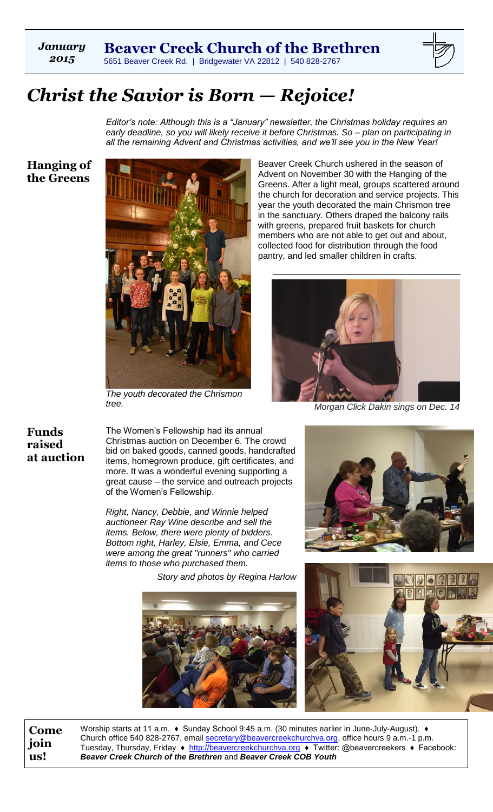*January 2015*



# *Christ the Savior is Born — Rejoice!*

*Editor's note: Although this is a "January" newsletter, the Christmas holiday requires an early deadline, so you will likely receive it before Christmas. So – plan on participating in all the remaining Advent and Christmas activities, and we'll see you in the New Year!*

**Hanging of the Greens**



*The youth decorated the Chrismon tree.*

Beaver Creek Church ushered in the season of Advent on November 30 with the Hanging of the Greens. After a light meal, groups scattered around the church for decoration and service projects. This year the youth decorated the main Chrismon tree in the sanctuary. Others draped the balcony rails with greens, prepared fruit baskets for church members who are not able to get out and about, collected food for distribution through the food pantry, and led smaller children in crafts.



*Morgan Click Dakin sings on Dec. 14*

**Funds raised at auction**

The Women's Fellowship had its annual Christmas auction on December 6. The crowd bid on baked goods, canned goods, handcrafted items, homegrown produce, gift certificates, and more. It was a wonderful evening supporting a great cause – the service and outreach projects of the Women's Fellowship.

*Right, Nancy, Debbie, and Winnie helped auctioneer Ray Wine describe and sell the items. Below, there were plenty of bidders. Bottom right, Harley, Elsie, Emma, and Cece were among the great "runners" who carried items to those who purchased them.*

*Story and photos by Regina Harlow*







**Come join us!**

Worship starts at 11 a.m. ♦ Sunday School 9:45 a.m. (30 minutes earlier in June-July-August). ♦ Church office 540 828-2767, email [secretary@beavercreekchurchva.org,](mailto:secretary@beavercreekchurchva.org) office hours 9 a.m.-1 p.m. Tuesday, Thursday, Friday ♦ [http://beavercreekchurchva.org](http://beavercreekchurchva.org/) ♦ Twitter: @beavercreekers ♦ Facebook: *Beaver Creek Church of the Brethren* and *Beaver Creek COB Youth*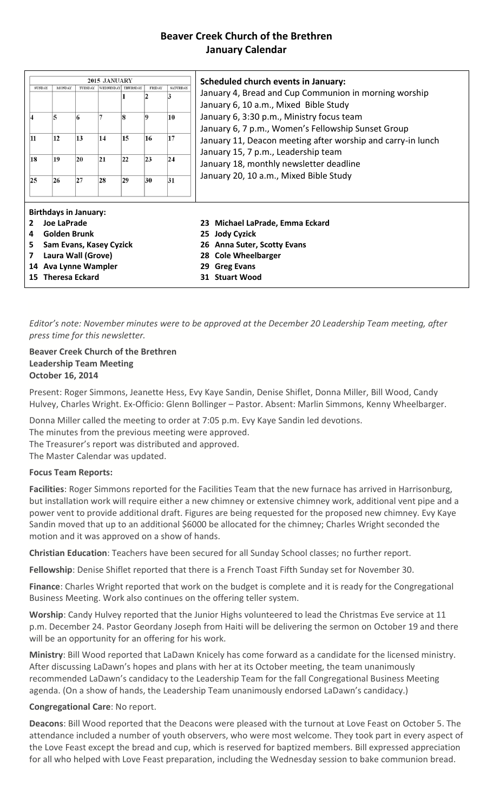## **Beaver Creek Church of the Brethren January Calendar**

| 2015 JANUARY                   |                              |         |    |                    |              |                 |                                                                                                                                                                                                                                                                                                                                                    |  |  |  |
|--------------------------------|------------------------------|---------|----|--------------------|--------------|-----------------|----------------------------------------------------------------------------------------------------------------------------------------------------------------------------------------------------------------------------------------------------------------------------------------------------------------------------------------------------|--|--|--|
| <b>SUNDAY</b>                  | <b>MONDAY</b>                | TUESDAY |    | WEDNESDAY THURSDAY | FRIDAY       | <b>SATURDAY</b> | <b>Scheduled church events in January:</b>                                                                                                                                                                                                                                                                                                         |  |  |  |
|                                |                              |         |    |                    | $\mathbf{D}$ | 3               | January 4, Bread and Cup Communion in morning worship<br>January 6, 10 a.m., Mixed Bible Study<br>January 6, 3:30 p.m., Ministry focus team<br>January 6, 7 p.m., Women's Fellowship Sunset Group<br>January 11, Deacon meeting after worship and carry-in lunch<br>January 15, 7 p.m., Leadership team<br>January 18, monthly newsletter deadline |  |  |  |
|                                | 5                            | 6       |    | 8                  | 0            | 10              |                                                                                                                                                                                                                                                                                                                                                    |  |  |  |
| 11                             | 12                           | 13      | 14 | 15                 | 16           | 17              |                                                                                                                                                                                                                                                                                                                                                    |  |  |  |
| 18                             | 19                           | 20      | 21 | 22                 | 23           | 24              |                                                                                                                                                                                                                                                                                                                                                    |  |  |  |
| 25                             | 26                           | 27      | 28 | 29                 | 30           | 31              | January 20, 10 a.m., Mixed Bible Study                                                                                                                                                                                                                                                                                                             |  |  |  |
|                                | <b>Birthdays in January:</b> |         |    |                    |              |                 |                                                                                                                                                                                                                                                                                                                                                    |  |  |  |
| Joe LaPrade<br>$\overline{2}$  |                              |         |    |                    |              |                 | 23 Michael LaPrade, Emma Eckard                                                                                                                                                                                                                                                                                                                    |  |  |  |
| <b>Golden Brunk</b><br>4       |                              |         |    |                    |              |                 | 25 Jody Cyzick                                                                                                                                                                                                                                                                                                                                     |  |  |  |
| Sam Evans, Kasey Cyzick<br>5.  |                              |         |    |                    |              |                 | <b>Anna Suter, Scotty Evans</b><br>26                                                                                                                                                                                                                                                                                                              |  |  |  |
| Laura Wall (Grove)<br>7        |                              |         |    |                    |              |                 | <b>Cole Wheelbarger</b><br>28.                                                                                                                                                                                                                                                                                                                     |  |  |  |
| <b>Ava Lynne Wampler</b><br>14 |                              |         |    |                    |              |                 | <b>Greg Evans</b><br>29                                                                                                                                                                                                                                                                                                                            |  |  |  |
| <b>Theresa Eckard</b><br>15    |                              |         |    |                    |              |                 | <b>Stuart Wood</b><br>31                                                                                                                                                                                                                                                                                                                           |  |  |  |
|                                |                              |         |    |                    |              |                 |                                                                                                                                                                                                                                                                                                                                                    |  |  |  |

*Editor's note: November minutes were to be approved at the December 20 Leadership Team meeting, after press time for this newsletter.*

#### **Beaver Creek Church of the Brethren Leadership Team Meeting October 16, 2014**

Present: Roger Simmons, Jeanette Hess, Evy Kaye Sandin, Denise Shiflet, Donna Miller, Bill Wood, Candy Hulvey, Charles Wright. Ex-Officio: Glenn Bollinger – Pastor. Absent: Marlin Simmons, Kenny Wheelbarger.

Donna Miller called the meeting to order at 7:05 p.m. Evy Kaye Sandin led devotions.

The minutes from the previous meeting were approved.

The Treasurer's report was distributed and approved.

The Master Calendar was updated.

#### **Focus Team Reports:**

**Facilities**: Roger Simmons reported for the Facilities Team that the new furnace has arrived in Harrisonburg, but installation work will require either a new chimney or extensive chimney work, additional vent pipe and a power vent to provide additional draft. Figures are being requested for the proposed new chimney. Evy Kaye Sandin moved that up to an additional \$6000 be allocated for the chimney; Charles Wright seconded the motion and it was approved on a show of hands.

**Christian Education**: Teachers have been secured for all Sunday School classes; no further report.

**Fellowship**: Denise Shiflet reported that there is a French Toast Fifth Sunday set for November 30.

**Finance**: Charles Wright reported that work on the budget is complete and it is ready for the Congregational Business Meeting. Work also continues on the offering teller system.

**Worship**: Candy Hulvey reported that the Junior Highs volunteered to lead the Christmas Eve service at 11 p.m. December 24. Pastor Geordany Joseph from Haiti will be delivering the sermon on October 19 and there will be an opportunity for an offering for his work.

**Ministry**: Bill Wood reported that LaDawn Knicely has come forward as a candidate for the licensed ministry. After discussing LaDawn's hopes and plans with her at its October meeting, the team unanimously recommended LaDawn's candidacy to the Leadership Team for the fall Congregational Business Meeting agenda. (On a show of hands, the Leadership Team unanimously endorsed LaDawn's candidacy.)

#### **Congregational Care**: No report.

**Deacons**: Bill Wood reported that the Deacons were pleased with the turnout at Love Feast on October 5. The attendance included a number of youth observers, who were most welcome. They took part in every aspect of the Love Feast except the bread and cup, which is reserved for baptized members. Bill expressed appreciation for all who helped with Love Feast preparation, including the Wednesday session to bake communion bread.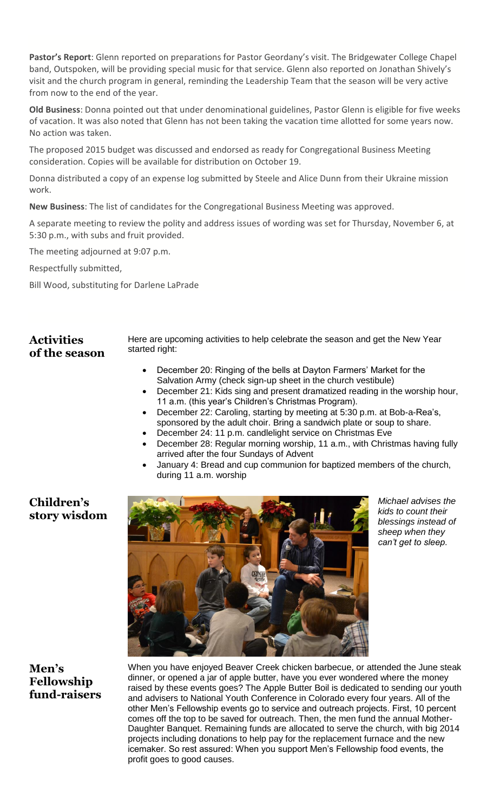**Pastor's Report**: Glenn reported on preparations for Pastor Geordany's visit. The Bridgewater College Chapel band, Outspoken, will be providing special music for that service. Glenn also reported on Jonathan Shively's visit and the church program in general, reminding the Leadership Team that the season will be very active from now to the end of the year.

**Old Business**: Donna pointed out that under denominational guidelines, Pastor Glenn is eligible for five weeks of vacation. It was also noted that Glenn has not been taking the vacation time allotted for some years now. No action was taken.

The proposed 2015 budget was discussed and endorsed as ready for Congregational Business Meeting consideration. Copies will be available for distribution on October 19.

Donna distributed a copy of an expense log submitted by Steele and Alice Dunn from their Ukraine mission work.

**New Business**: The list of candidates for the Congregational Business Meeting was approved.

A separate meeting to review the polity and address issues of wording was set for Thursday, November 6, at 5:30 p.m., with subs and fruit provided.

The meeting adjourned at 9:07 p.m.

Respectfully submitted,

Bill Wood, substituting for Darlene LaPrade

## **Activities of the season**

Here are upcoming activities to help celebrate the season and get the New Year started right:

- December 20: Ringing of the bells at Dayton Farmers' Market for the Salvation Army (check sign-up sheet in the church vestibule)
- December 21: Kids sing and present dramatized reading in the worship hour, 11 a.m. (this year's Children's Christmas Program).
- December 22: Caroling, starting by meeting at 5:30 p.m. at Bob-a-Rea's, sponsored by the adult choir. Bring a sandwich plate or soup to share.
- December 24: 11 p.m. candlelight service on Christmas Eve
- December 28: Regular morning worship, 11 a.m., with Christmas having fully arrived after the four Sundays of Advent
- January 4: Bread and cup communion for baptized members of the church, during 11 a.m. worship

## **Children's story wisdom**



*Michael advises the kids to count their blessings instead of sheep when they can't get to sleep.*

## **Men's Fellowship fund-raisers**

When you have enjoyed Beaver Creek chicken barbecue, or attended the June steak dinner, or opened a jar of apple butter, have you ever wondered where the money raised by these events goes? The Apple Butter Boil is dedicated to sending our youth and advisers to National Youth Conference in Colorado every four years. All of the other Men's Fellowship events go to service and outreach projects. First, 10 percent comes off the top to be saved for outreach. Then, the men fund the annual Mother-Daughter Banquet. Remaining funds are allocated to serve the church, with big 2014 projects including donations to help pay for the replacement furnace and the new icemaker. So rest assured: When you support Men's Fellowship food events, the profit goes to good causes.